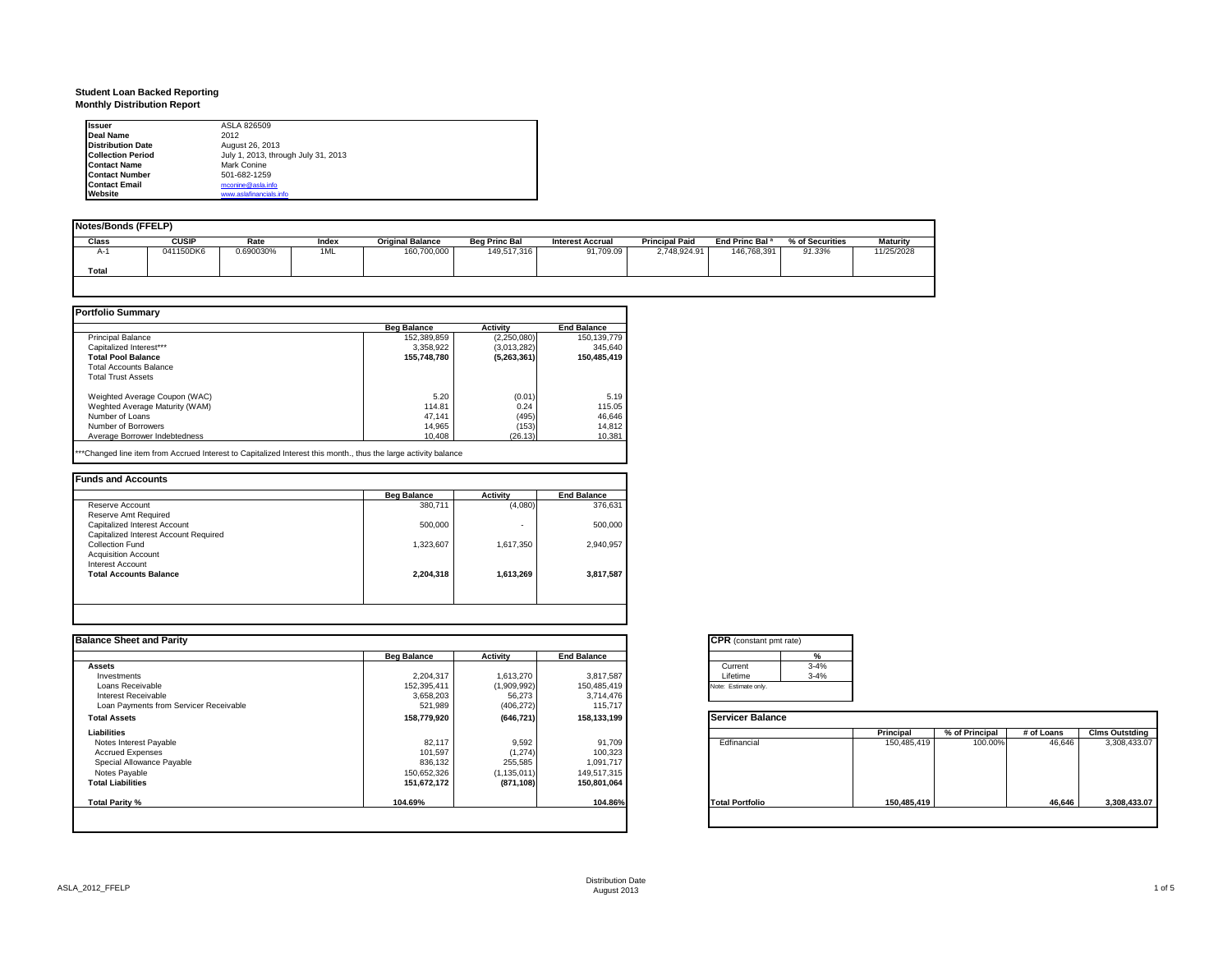# **Student Loan Backed Reporting Monthly Distribution Report**

| <b>Issuer</b>            | ASLA 826509                         |
|--------------------------|-------------------------------------|
| <b>Deal Name</b>         | 2012                                |
| <b>Distribution Date</b> | August 26, 2013                     |
| <b>Collection Period</b> | July 1, 2013, through July 31, 2013 |
| <b>Contact Name</b>      | Mark Conine                         |
| <b>Contact Number</b>    | 501-682-1259                        |
| <b>Contact Email</b>     | mconine@asla.info                   |
| Website                  | www.aslafinancials.info             |

| Notes/Bonds (FFELP) |              |           |       |                         |                      |                         |                       |                            |                 |                 |
|---------------------|--------------|-----------|-------|-------------------------|----------------------|-------------------------|-----------------------|----------------------------|-----------------|-----------------|
| Class               | <b>CUSIP</b> | Rate      | Index | <b>Original Balance</b> | <b>Beg Princ Bal</b> | <b>Interest Accrual</b> | <b>Principal Paid</b> | End Princ Bal <sup>a</sup> | % of Securities | <b>Maturity</b> |
| $A-1$               | 041150DK6    | 0.690030% | 1ML   | 160,700,000             | 149,517,316          | 91,709.09               | 2,748,924.91          | 146,768,391                | 91.33%          | 11/25/2028      |
| Total               |              |           |       |                         |                      |                         |                       |                            |                 |                 |
|                     |              |           |       |                         |                      |                         |                       |                            |                 |                 |

|                                | <b>Beg Balance</b> | Activity      | <b>End Balance</b> |
|--------------------------------|--------------------|---------------|--------------------|
| <b>Principal Balance</b>       | 152,389,859        | (2,250,080)   | 150.139.779        |
| Capitalized Interest***        | 3,358,922          | (3,013,282)   | 345.640            |
| <b>Total Pool Balance</b>      | 155,748,780        | (5, 263, 361) | 150,485,419        |
| Total Accounts Balance         |                    |               |                    |
| <b>Total Trust Assets</b>      |                    |               |                    |
| Weighted Average Coupon (WAC)  | 5.20               | (0.01)        | 5.19               |
| Weghted Average Maturity (WAM) | 114.81             | 0.24          | 115.05             |
| Number of Loans                | 47.141             | (495)         | 46.646             |
| Number of Borrowers            | 14.965             | (153)         | 14.812             |
| Average Borrower Indebtedness  | 10.408             | (26.13)       | 10,381             |

\*\*\*Changed line item from Accrued Interest to Capitalized Interest this month., thus the large activity balance

| Reserve Account                       | 380.711   |           |           |
|---------------------------------------|-----------|-----------|-----------|
|                                       |           | (4,080)   | 376,631   |
| Reserve Amt Required                  |           |           |           |
| Capitalized Interest Account          | 500,000   | ٠         | 500,000   |
| Capitalized Interest Account Required |           |           |           |
| Collection Fund                       | 1,323,607 | 1,617,350 | 2,940,957 |
| <b>Acquisition Account</b>            |           |           |           |
| <b>Interest Account</b>               |           |           |           |
| <b>Total Accounts Balance</b>         | 2,204,318 | 1,613,269 | 3,817,587 |

| <b>Balance Sheet and Parity</b>        |                    |                 |                    | <b>CPR</b> (constant pmt rate) |             |                |            |                       |
|----------------------------------------|--------------------|-----------------|--------------------|--------------------------------|-------------|----------------|------------|-----------------------|
|                                        | <b>Beg Balance</b> | <b>Activity</b> | <b>End Balance</b> | $\frac{9}{6}$                  |             |                |            |                       |
| <b>Assets</b>                          |                    |                 |                    | $3 - 4%$<br>Current            |             |                |            |                       |
| Investments                            | 2,204,317          | 1,613,270       | 3,817,587          | $3 - 4%$<br>Lifetime           |             |                |            |                       |
| Loans Receivable                       | 152,395,411        | (1,909,992)     | 150,485,419        | Note: Estimate only.           |             |                |            |                       |
| Interest Receivable                    | 3,658,203          | 56,273          | 3,714,476          |                                |             |                |            |                       |
| Loan Payments from Servicer Receivable | 521,989            | (406, 272)      | 115,717            |                                |             |                |            |                       |
| <b>Total Assets</b>                    | 158,779,920        | (646, 721)      | 158,133,199        | <b>Servicer Balance</b>        |             |                |            |                       |
| Liabilities                            |                    |                 |                    |                                | Principal   | % of Principal | # of Loans | <b>Clms Outstding</b> |
| Notes Interest Payable                 | 82,117             | 9,592           | 91,709             | Edfinancial                    | 150,485,419 | 100.00%        | 46,646     | 3,308,433.07          |
| <b>Accrued Expenses</b>                | 101,597            | (1, 274)        | 100,323            |                                |             |                |            |                       |
| Special Allowance Payable              | 836,132            | 255,585         | 1,091,717          |                                |             |                |            |                       |
| Notes Payable                          | 150,652,326        | (1, 135, 011)   | 149,517,315        |                                |             |                |            |                       |
| <b>Total Liabilities</b>               | 151,672,172        | (871, 108)      | 150,801,064        |                                |             |                |            |                       |
| Total Parity %                         | 104.69%            |                 | 104.86%            | <b>Total Portfolio</b>         | 150,485,419 |                | 46,646     | 3,308,433.07          |
|                                        |                    |                 |                    |                                |             |                |            |                       |
|                                        |                    |                 |                    |                                |             |                |            |                       |

|          | %        |
|----------|----------|
| Current  | $3 - 4%$ |
| Lifetime | $3 - 4%$ |

|                        | Principal   | % of Principal | # of Loans | <b>Clms Outstding</b> |
|------------------------|-------------|----------------|------------|-----------------------|
| Edfinancial            | 150,485,419 | 100.00%        | 46,646     | 3,308,433.07          |
| <b>Total Portfolio</b> | 150,485,419 |                | 46.646     | 3,308,433.07          |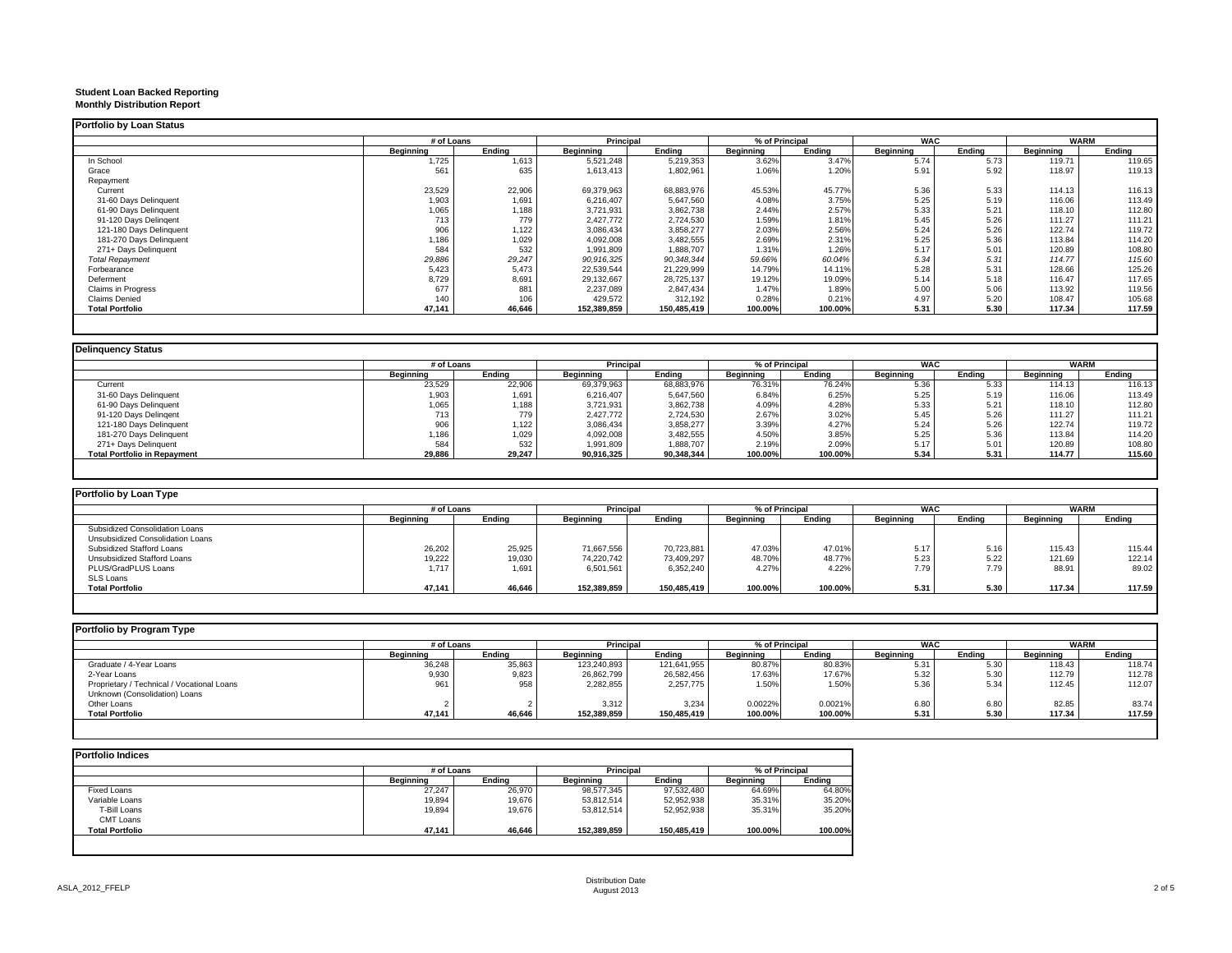# **Student Loan Backed Reporting Monthly Distribution Report**

| # of Loans |        |             |             |                |         |            |        |             |        |
|------------|--------|-------------|-------------|----------------|---------|------------|--------|-------------|--------|
|            |        | Principal   |             | % of Principal |         | <b>WAC</b> |        | <b>WARM</b> |        |
| Beginning  | Endina | Beainnina   | Endina      | Beainnina      | Endina  | Beginning  | Endina | Beginning   | Endina |
| 1,725      | 1,613  | 5.521.248   | 5,219,353   | 3.62%          | 3.47%   | 5.74       | 5.73   | 119.71      | 119.65 |
| 561        | 635    | 1,613,413   | 1,802,961   | 1.06%          | 1.20%   | 5.91       | 5.92   | 118.97      | 119.13 |
|            |        |             |             |                |         |            |        |             |        |
| 23,529     | 22,906 | 69,379,963  | 68,883,976  | 45.53%         | 45.77%  | 5.36       | 5.33   | 114.13      | 116.13 |
| 1,903      | 1,691  | 6.216.407   | 5.647.560   | 4.08%          | 3.75%   | 5.25       | 5.19   | 116.06      | 113.49 |
| 1,065      | 1,188  | 3,721,931   | 3,862,738   | 2.44%          | 2.57%   | 5.33       | 5.21   | 118.10      | 112.80 |
| 713        | 779    | 2.427.772   | 2,724,530   | 1.59%          | 1.81%   | 5.45       | 5.26   | 111.27      | 111.21 |
| 906        | 1,122  | 3,086,434   | 3,858,277   | 2.03%          | 2.56%   | 5.24       | 5.26   | 122.74      | 119.72 |
| 1,186      | 1,029  | 4,092,008   | 3,482,555   | 2.69%          | 2.31%   | 5.25       | 5.36   | 113.84      | 114.20 |
| 584        | 532    | 1,991,809   | 1,888,707   | 1.31%          | 1.26%   | 5.17       | 5.01   | 120.89      | 108.80 |
| 29,886     | 29,247 | 90,916,325  | 90,348,344  | 59.66%         | 60.04%  | 5.34       | 5.31   | 114.77      | 115.60 |
| 5,423      | 5,473  | 22,539,544  | 21,229,999  | 14.79%         | 14.11%  | 5.28       | 5.31   | 128.66      | 125.26 |
| 8,729      | 8,691  | 29,132,667  | 28,725,137  | 19.12%         | 19.09%  | 5.14       | 5.18   | 116.47      | 117.65 |
| 677        | 881    | 2,237,089   | 2,847,434   | 1.47%          | 1.89%   | 5.00       | 5.06   | 113.92      | 119.56 |
| 140        | 106    | 429.572     | 312,192     | 0.28%          | 0.21%   | 4.97       | 5.20   | 108.47      | 105.68 |
| 47,141     | 46.646 | 152,389,859 | 150,485,419 | 100.00%        | 100.00% | 5.31       | 5.30   | 117.34      | 117.59 |
|            |        |             |             |                |         |            |        |             |        |

#### **Delinquency Status**

|                                     | # of Loans |        | Principal  |            | % of Principal |         | <b>WAC</b>       |        | <b>WARM</b>      |        |
|-------------------------------------|------------|--------|------------|------------|----------------|---------|------------------|--------|------------------|--------|
|                                     | Beainnina  | Endina | Beainnina  | Endina     | Beainnina      | Endina  | <b>Beainning</b> | Endina | <b>Beainning</b> | Endina |
| Current                             | 23,529     | 22,906 | 69,379,963 | 68,883,976 | 76.31%         | 76.24%  | 5.36             | 5.33   | 114.13           | 116.13 |
| 31-60 Days Delinquent               | 1,903      | 1,691  | 6,216,407  | 5,647,560  | 6.84%          | 6.25%   | 5.25             | 5.19   | 116.06           | 113.49 |
| 61-90 Days Delinquent               | 1,065      | 1,188  | 3,721,931  | 3,862,738  | 4.09%          | 4.28%   | 5.33             | 5.21   | 118.10           | 112.80 |
| 91-120 Days Delingent               | 713        | 779    | 2,427,772  | 2,724,530  | 2.67%          | 3.02%   | 5.45             | 5.26   | 111.27           | 111.21 |
| 121-180 Days Delinquent             | 906        | 1.122  | 3,086,434  | 3,858,277  | 3.39%          | 4.27%   | 5.24             | 5.26   | 122.74           | 119.72 |
| 181-270 Days Delinquent             | 1,186      | 1,029  | 4,092,008  | 3,482,555  | 4.50%          | 3.85%   | 5.25             | 5.36   | 113.84           | 114.20 |
| 271+ Days Delinquent                | 584        | 532    | 1,991,809  | 1,888,707  | 2.19%          | 2.09%   | 5.17             | 5.01   | 120.89           | 108.80 |
| <b>Total Portfolio in Repayment</b> | 29,886     | 29,247 | 90,916,325 | 90,348,344 | 100.00%        | 100.00% | 5.34             | 5.31   | 114.77           | 115.60 |

| Portfolio by Loan Type           |            |        |                  |             |           |                |                  |        |           |             |
|----------------------------------|------------|--------|------------------|-------------|-----------|----------------|------------------|--------|-----------|-------------|
|                                  | # of Loans |        | Principal        |             |           | % of Principal | <b>WAC</b>       |        |           | <b>WARM</b> |
|                                  | Beainnina  | Endina | <b>Beginning</b> | Endina      | Beainnina | Endina         | <b>Beainning</b> | Endina | Beainnina | Endina      |
| Subsidized Consolidation Loans   |            |        |                  |             |           |                |                  |        |           |             |
| Unsubsidized Consolidation Loans |            |        |                  |             |           |                |                  |        |           |             |
| Subsidized Stafford Loans        | 26,202     | 25,925 | 71.667.556       | 70,723,881  | 47.03%    | 47.01%         | 5.17             | 5.16   | 115.43    | 115.44      |
| Unsubsidized Stafford Loans      | 19,222     | 19,030 | 74,220,742       | 73,409,297  | 48.70%    | 48.77%         | 5.23             | 5.22   | 121.69    | 122.14      |
| PLUS/GradPLUS Loans              | 1.717      | 1,691  | 6,501,561        | 6,352,240   | 4.27%     | 4.22%          | 7.79             | 7.79   | 88.9      | 89.02       |
| <b>SLS Loans</b>                 |            |        |                  |             |           |                |                  |        |           |             |
| Total Portfolio                  | 47,141     | 46,646 | 152,389,859      | 150,485,419 | 100.00%   | 100.00%        | 5.31             | 5.30   | 117.34    | 117.59      |

| Portfolio by Program Type                  |            |        |             |             |           |                |            |        |           |             |
|--------------------------------------------|------------|--------|-------------|-------------|-----------|----------------|------------|--------|-----------|-------------|
|                                            | # of Loans |        | Principal   |             |           | % of Principal | <b>WAC</b> |        |           | <b>WARM</b> |
|                                            | Beainnina  | Endina | Beainnina   | Endina      | Beainnina | Endina         | Beainnina  | Endina | Beainnina | Endina      |
| Graduate / 4-Year Loans                    | 36,248     | 35,863 | 123.240.893 | 121.641.955 | 80.87%    | 80.83%         | 5.31       | 5.3(   | 118.43    | 118.74      |
| 2-Year Loans                               | 9,930      | 9,823  | 26,862,799  | 26,582,456  | 17.63%    | 17.67%         | 5.32       | 5.30   | 112.79    | 112.78      |
| Proprietary / Technical / Vocational Loans | 961        | 958    | 2,282,855   | 2.257.775   | 1.50%     | 1.50%          | 5.36       | 5.34   | 112.45    | 112.07      |
| Unknown (Consolidation) Loans              |            |        |             |             |           |                |            |        |           |             |
| Other Loans                                |            |        | 3,312       | 3,234       | 0.0022%   | 0.0021%        | 6.80       | 6.80   | 82.85     | 83.74       |
| <b>Total Portfolio</b>                     | 47.141     | 46,646 | 152,389,859 | 150,485,419 | 100.00%   | 100.00%        | 5.31       | 5.30   | 117.34    | 117.59      |
|                                            |            |        |             |             |           |                |            |        |           |             |

|                        | # of Loans |        | <b>Principal</b> |             | % of Principal   |         |
|------------------------|------------|--------|------------------|-------------|------------------|---------|
|                        | Beainnina  | Endina | Beainnina        | Endina      | <b>Beginning</b> | Endina  |
| Fixed Loans            | 27.247     | 26.970 | 98,577,345       | 97,532,480  | 64.69%           | 64.80%  |
| Variable Loans         | 19.894     | 19,676 | 53.812.514       | 52,952,938  | 35.31%           | 35.20%  |
| T-Bill Loans           | 19,894     | 19.676 | 53.812.514       | 52,952,938  | 35.31%           | 35.20%  |
| CMT Loans              |            |        |                  |             |                  |         |
| <b>Total Portfolio</b> | 47.141     | 46.646 | 152,389,859      | 150,485,419 | 100.00%          | 100.00% |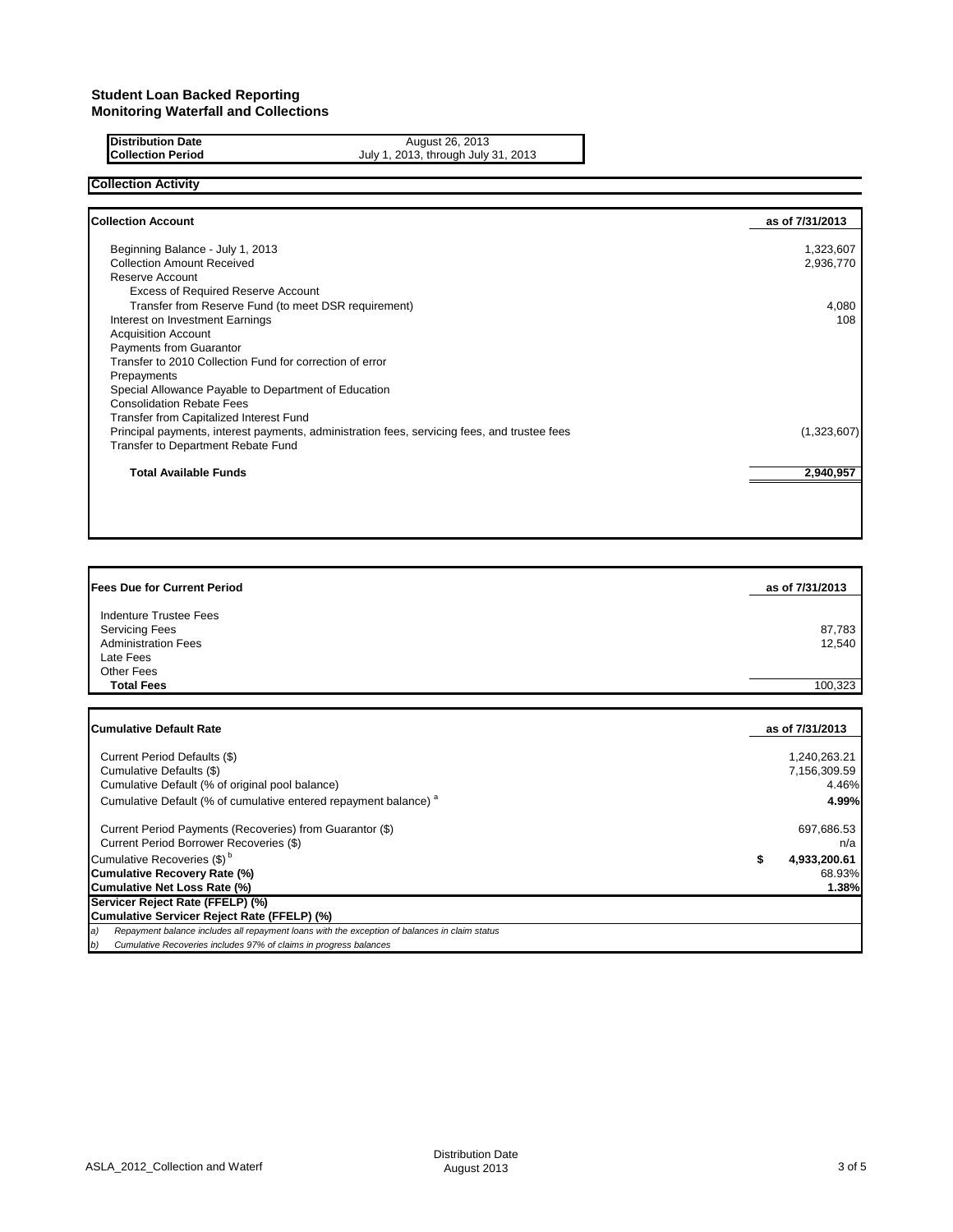# **Distribution Date August 26, 2013**

**Collection Period** July 1, 2013, through July 31, 2013

## **Collection Activity**

| <b>Collection Account</b>                                                                    | as of 7/31/2013 |
|----------------------------------------------------------------------------------------------|-----------------|
| Beginning Balance - July 1, 2013                                                             | 1,323,607       |
| <b>Collection Amount Received</b>                                                            | 2,936,770       |
| Reserve Account                                                                              |                 |
| <b>Excess of Required Reserve Account</b>                                                    |                 |
| Transfer from Reserve Fund (to meet DSR requirement)                                         | 4,080           |
| Interest on Investment Earnings                                                              | 108             |
| <b>Acquisition Account</b>                                                                   |                 |
| <b>Payments from Guarantor</b>                                                               |                 |
| Transfer to 2010 Collection Fund for correction of error                                     |                 |
| Prepayments                                                                                  |                 |
| Special Allowance Payable to Department of Education                                         |                 |
| <b>Consolidation Rebate Fees</b>                                                             |                 |
| Transfer from Capitalized Interest Fund                                                      |                 |
| Principal payments, interest payments, administration fees, servicing fees, and trustee fees | (1,323,607)     |
| Transfer to Department Rebate Fund                                                           |                 |
| <b>Total Available Funds</b>                                                                 | 2,940,957       |

| <b>Fees Due for Current Period</b> | as of 7/31/2013 |
|------------------------------------|-----------------|
|                                    |                 |
| Indenture Trustee Fees             |                 |
| <b>Servicing Fees</b>              | 87,783          |
| <b>Administration Fees</b>         | 12,540          |
| Late Fees                          |                 |
| Other Fees                         |                 |
| <b>Total Fees</b>                  | 100,323         |

| <b>ICumulative Default Rate</b>                                                                     | as of 7/31/2013   |
|-----------------------------------------------------------------------------------------------------|-------------------|
| Current Period Defaults (\$)                                                                        | 1.240.263.21      |
| Cumulative Defaults (\$)                                                                            | 7,156,309.59      |
| Cumulative Default (% of original pool balance)                                                     | 4.46%             |
| Cumulative Default (% of cumulative entered repayment balance) <sup>a</sup>                         | 4.99%             |
| Current Period Payments (Recoveries) from Guarantor (\$)                                            | 697,686.53        |
| Current Period Borrower Recoveries (\$)                                                             | n/a               |
| Cumulative Recoveries (\$) <sup>b</sup>                                                             | 4,933,200.61<br>S |
| Cumulative Recovery Rate (%)                                                                        | 68.93%            |
| Cumulative Net Loss Rate (%)                                                                        | 1.38%             |
| Servicer Reject Rate (FFELP) (%)                                                                    |                   |
| Cumulative Servicer Reject Rate (FFELP) (%)                                                         |                   |
| Repayment balance includes all repayment loans with the exception of balances in claim status<br>a) |                   |
| Cumulative Recoveries includes 97% of claims in progress balances<br>b)                             |                   |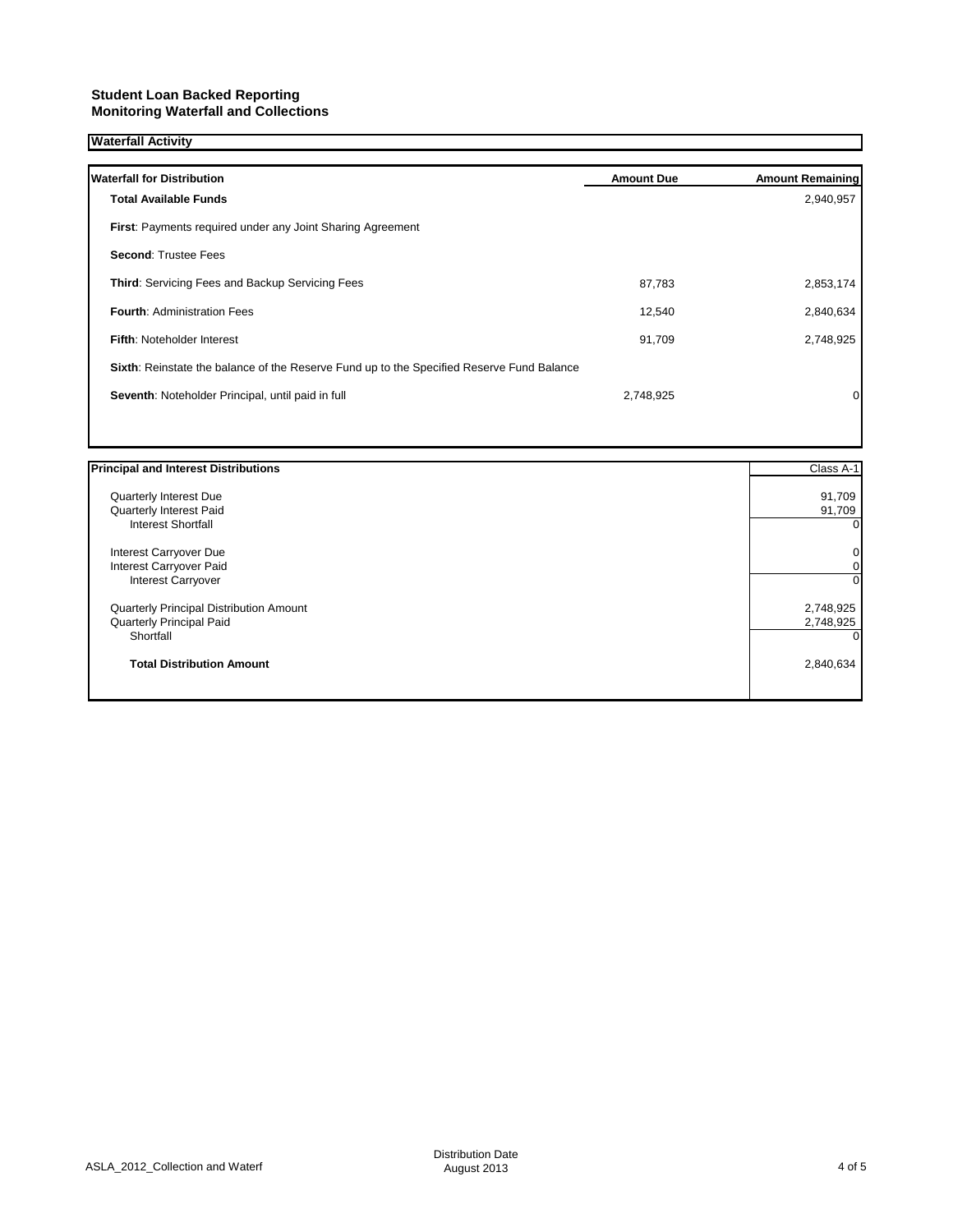### **Student Loan Backed Reporting Monitoring Waterfall and Collections**

## **Waterfall Activity**

| <b>Waterfall for Distribution</b>                                                         | <b>Amount Due</b> | <b>Amount Remaining</b> |
|-------------------------------------------------------------------------------------------|-------------------|-------------------------|
| <b>Total Available Funds</b>                                                              |                   | 2,940,957               |
| First: Payments required under any Joint Sharing Agreement                                |                   |                         |
| <b>Second: Trustee Fees</b>                                                               |                   |                         |
| Third: Servicing Fees and Backup Servicing Fees                                           | 87,783            | 2,853,174               |
| <b>Fourth: Administration Fees</b>                                                        | 12,540            | 2,840,634               |
| Fifth: Noteholder Interest                                                                | 91,709            | 2,748,925               |
| Sixth: Reinstate the balance of the Reserve Fund up to the Specified Reserve Fund Balance |                   |                         |
| Seventh: Noteholder Principal, until paid in full                                         | 2,748,925         | 0                       |
|                                                                                           |                   |                         |

| <b>Principal and Interest Distributions</b>    | Class A-1 |
|------------------------------------------------|-----------|
| Quarterly Interest Due                         | 91,709    |
| Quarterly Interest Paid                        | 91,709    |
| <b>Interest Shortfall</b>                      | $\Omega$  |
| Interest Carryover Due                         | 0         |
| Interest Carryover Paid                        | 0         |
| <b>Interest Carryover</b>                      | $\Omega$  |
| <b>Quarterly Principal Distribution Amount</b> | 2,748,925 |
| Quarterly Principal Paid                       | 2,748,925 |
| Shortfall                                      |           |
| <b>Total Distribution Amount</b>               | 2,840,634 |
|                                                |           |